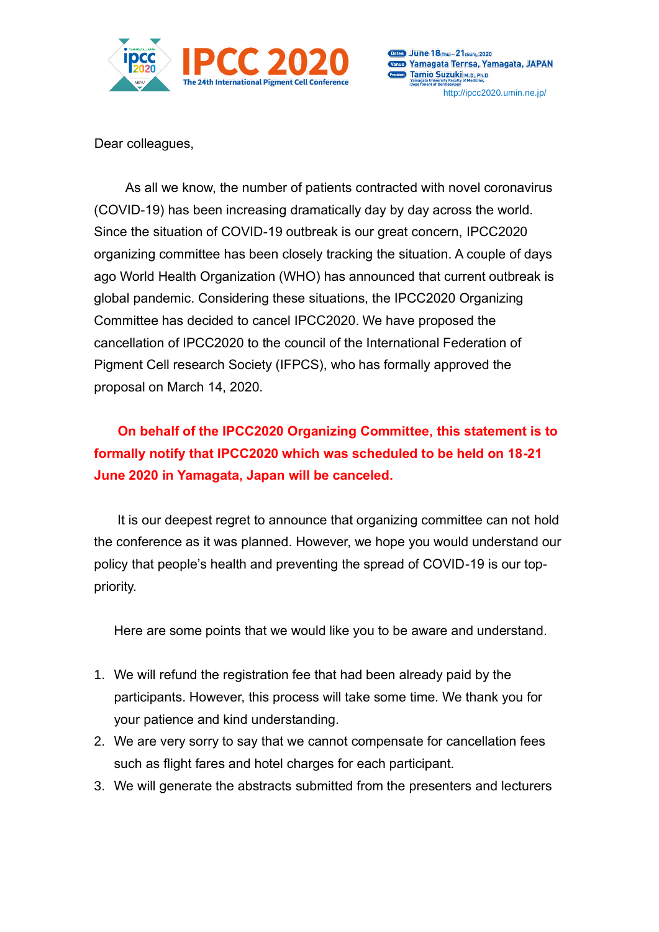

Dates June 18(Thu)-21(Sun), 2020 Vanue Yamagata Terrsa, Yamagata, JAPAN **Tamio Suzuki M.D., Ph.D.** http://ipcc2020.umin.ne.jp/

Dear colleagues,

As all we know, the number of patients contracted with novel coronavirus (COVID-19) has been increasing dramatically day by day across the world. Since the situation of COVID-19 outbreak is our great concern, IPCC2020 organizing committee has been closely tracking the situation. A couple of days ago World Health Organization (WHO) has announced that current outbreak is global pandemic. Considering these situations, the IPCC2020 Organizing Committee has decided to cancel IPCC2020. We have proposed the cancellation of IPCC2020 to the council of the International Federation of Pigment Cell research Society (IFPCS), who has formally approved the proposal on March 14, 2020.

## **On behalf of the IPCC2020 Organizing Committee, this statement is to formally notify that IPCC2020 which was scheduled to be held on 18-21 June 2020 in Yamagata, Japan will be canceled.**

It is our deepest regret to announce that organizing committee can not hold the conference as it was planned. However, we hope you would understand our policy that people's health and preventing the spread of COVID-19 is our toppriority.

Here are some points that we would like you to be aware and understand.

- 1. We will refund the registration fee that had been already paid by the participants. However, this process will take some time. We thank you for your patience and kind understanding.
- 2. We are very sorry to say that we cannot compensate for cancellation fees such as flight fares and hotel charges for each participant.
- 3. We will generate the abstracts submitted from the presenters and lecturers